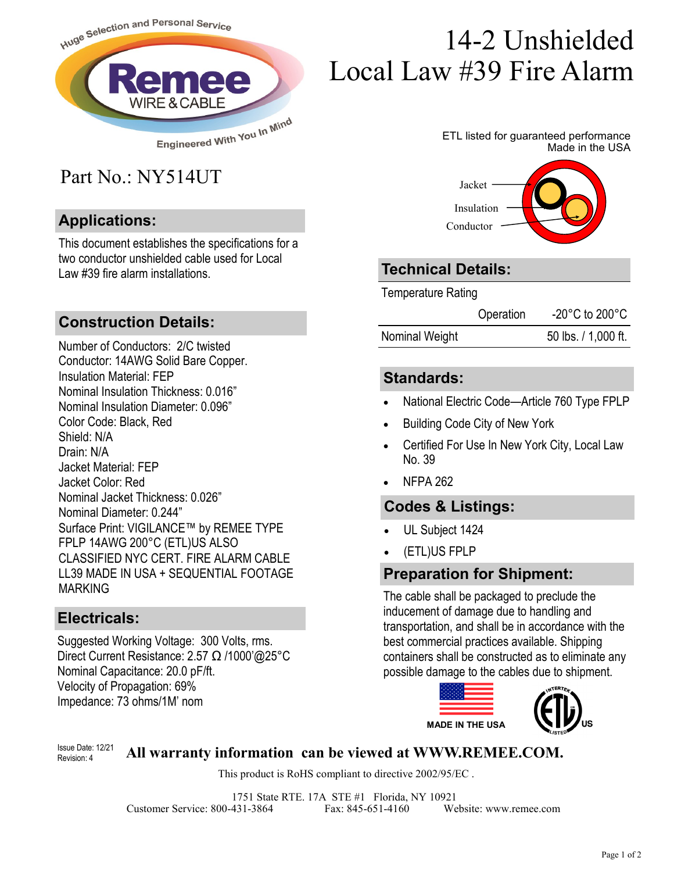

# 14-2 Unshielded Local Law #39 Fire Alarm

ETL listed for guaranteed performance Made in the USA



### **Technical Details:**

Temperature Rating

|                | Operation | $-20^{\circ}$ C to 200 $^{\circ}$ C |
|----------------|-----------|-------------------------------------|
| Nominal Weight |           | 50 lbs. / 1,000 ft.                 |

#### **Standards:**

- National Electric Code—Article 760 Type FPLP
- Building Code City of New York
- Certified For Use In New York City, Local Law No. 39
- NFPA 262

#### **Codes & Listings:**

- UL Subject 1424
- (ETL)US FPLP

#### **Preparation for Shipment:**

The cable shall be packaged to preclude the inducement of damage due to handling and transportation, and shall be in accordance with the best commercial practices available. Shipping containers shall be constructed as to eliminate any possible damage to the cables due to shipment.



**ISSUE Date: 12/21** All warranty information can be viewed at WWW.REMEE.COM. Revision: 4

This product is RoHS compliant to directive 2002/95/EC .

1751 State RTE. 17A STE #1 Florida, NY 10921 Customer Service: 800-431-3864 Fax: 845-651-4160 Website: www.remee.com

### Part No.: NY514UT

#### **Applications:**

This document establishes the specifications for a two conductor unshielded cable used for Local Law #39 fire alarm installations.

#### **Construction Details:**

Number of Conductors: 2/C twisted Conductor: 14AWG Solid Bare Copper. Insulation Material: FEP Nominal Insulation Thickness: 0.016" Nominal Insulation Diameter: 0.096" Color Code: Black, Red Shield: N/A Drain: N/A Jacket Material: FEP Jacket Color: Red Nominal Jacket Thickness: 0.026" Nominal Diameter: 0.244" Surface Print: VIGILANCE™ by REMEE TYPE FPLP 14AWG 200°C (ETL)US ALSO CLASSIFIED NYC CERT. FIRE ALARM CABLE LL39 MADE IN USA + SEQUENTIAL FOOTAGE **MARKING** 

#### **Electricals:**

Suggested Working Voltage: 300 Volts, rms. Direct Current Resistance: 2.57 Ω /1000'@25°C Nominal Capacitance: 20.0 pF/ft. Velocity of Propagation: 69% Impedance: 73 ohms/1M' nom